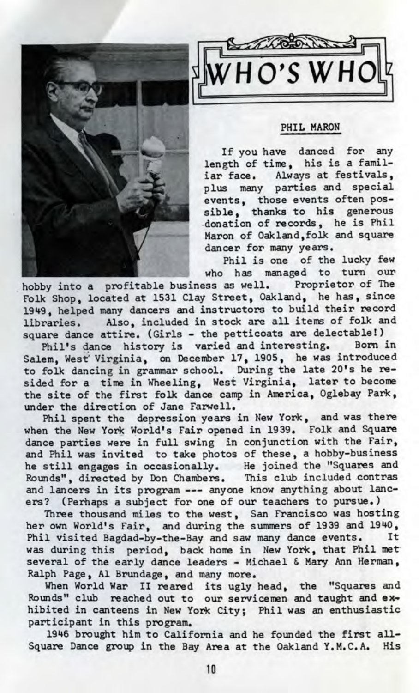



## PHIL MARQN

If you have danced for any length of time, his is a familiar face. Always at festivals, plus many parties and special events, those events often possible, thanks to his generous donation of records, he is Phil Maron of Oakland,folk and square dancer for many years.

Phil is one of the lucky few who has managed to turn our

hobby into a profitable business as well. Proprietor of The Folk Shop, located at 1531 Clay Street, Oakland, he has, since 1949, helped many dancers and instructors to build their record libraries. Also, included in stock are all items of folk and square dance attire. (Girls - the petticoats are delectable!)

Phil's dance history is varied and interesting. Born in Salem, West' Virginia, on December 17, 1905, he was introduced to folk dancing in grammar school. During the late 20's he resided for a time in Wheeling, West Virginia, later to become the site of the first folk dance camp in America, Oglebay Park, under the direction of Jane Farwell.

Phil spent the depression years in New York, and was there when the New York World's Fair opened in 1939. Folk and Square dance parties were in full swing in conjunction with the Fair, and Phil was invited to take photos of these, a hobby-business he still engages in occasionally. He joined the "Squares and Rounds", directed by Don Chambers. This club included contras and lancers in its program --- anyone know anything about lancers? (Perhaps a subject for one of our teachers to pursue.)

Three thousand miles to the west, San Francisco was hosting her own World's Fair, and during the summers of 1939 and 1940, Phil visited Bagdad-by-the-Bay and saw many dance events. It was during this period, back home in New York, that Phil met several of the early dance leaders - Michael & Mary Ann Herman, Ralph Page, Al Brundage, and many more.

When World War II reared its ugly head, the "Squares and Rounds" club reached out to our servicemen and taught and **ex^** hibited in canteens in New York City; Phil was an enthusiastic participant in this program.

1946 brought him to California and he founded the first all-Square Dance group in the Bay Area at the Oakland Y.M.C.A. His